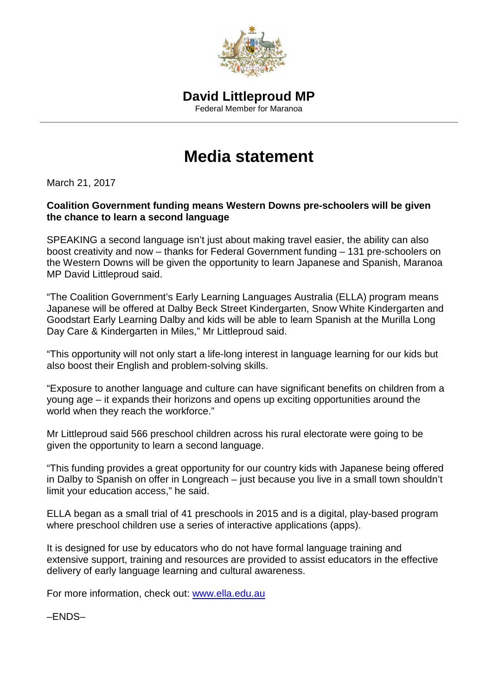

## **Media statement**

March 21, 2017

## **Coalition Government funding means Western Downs pre-schoolers will be given the chance to learn a second language**

SPEAKING a second language isn't just about making travel easier, the ability can also boost creativity and now – thanks for Federal Government funding – 131 pre-schoolers on the Western Downs will be given the opportunity to learn Japanese and Spanish, Maranoa MP David Littleproud said.

"The Coalition Government's Early Learning Languages Australia (ELLA) program means Japanese will be offered at Dalby Beck Street Kindergarten, Snow White Kindergarten and Goodstart Early Learning Dalby and kids will be able to learn Spanish at the Murilla Long Day Care & Kindergarten in Miles," Mr Littleproud said.

"This opportunity will not only start a life-long interest in language learning for our kids but also boost their English and problem-solving skills.

"Exposure to another language and culture can have significant benefits on children from a young age – it expands their horizons and opens up exciting opportunities around the world when they reach the workforce."

Mr Littleproud said 566 preschool children across his rural electorate were going to be given the opportunity to learn a second language.

"This funding provides a great opportunity for our country kids with Japanese being offered in Dalby to Spanish on offer in Longreach – just because you live in a small town shouldn't limit your education access," he said.

ELLA began as a small trial of 41 preschools in 2015 and is a digital, play-based program where preschool children use a series of interactive applications (apps).

It is designed for use by educators who do not have formal language training and extensive support, training and resources are provided to assist educators in the effective delivery of early language learning and cultural awareness.

For more information, check out: [www.ella.edu.au](http://www.ella.edu.au/#_blank)

–ENDS–